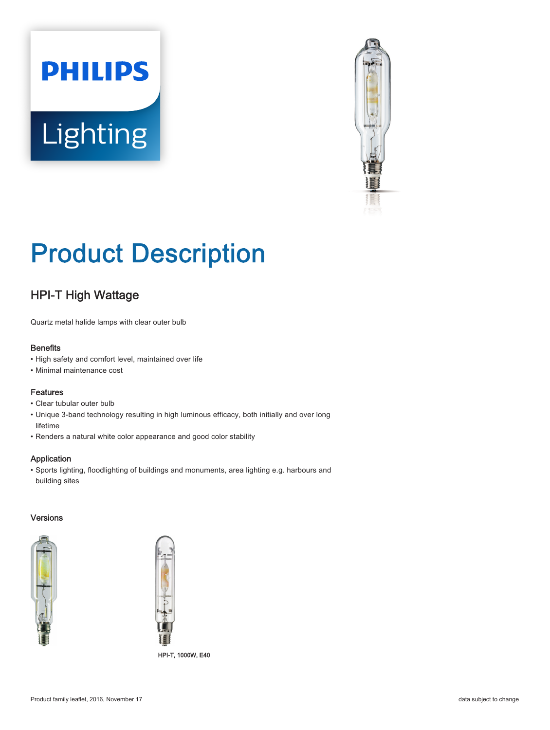



# Product Description

## HPI-T High Wattage

Quartz metal halide lamps with clear outer bulb

#### **Benefits**

- High safety and comfort level, maintained over life
- Minimal maintenance cost

#### Features

- Clear tubular outer bulb
- Unique 3-band technology resulting in high luminous efficacy, both initially and over long lifetime
- Renders a natural white color appearance and good color stability

#### Application

• Sports lighting, floodlighting of buildings and monuments, area lighting e.g. harbours and building sites

#### Versions



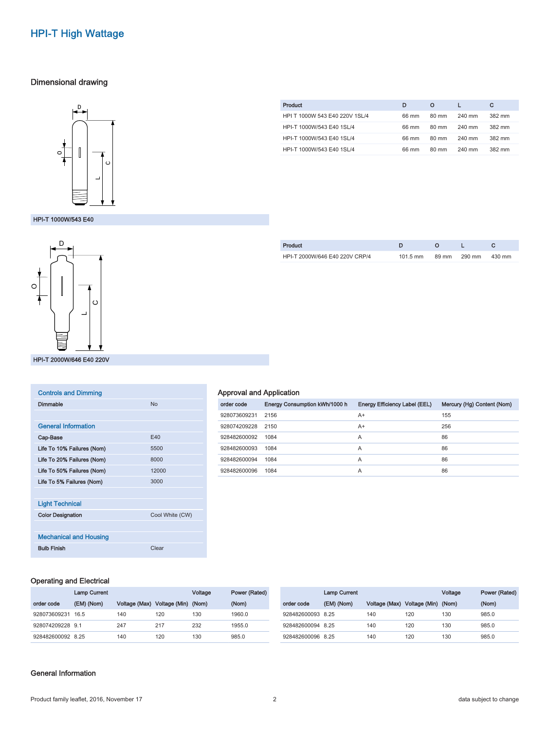## HPI-T High Wattage

#### Dimensional drawing



HPI-T 1000W/543 E40 1SL/4 66 mm 80 mm 240 mm 382 mm HPI-T 1000W/543 E40 1SL/4 66 mm 80 mm 240 mm 382 mm HPI-T 1000W/543 E40 1SL/4 66 mm 80 mm 240 mm 382 mm

Product **D** O L C HPI T 1000W 543 E40 220V 1SL/4 66 mm 80 mm 240 mm 382 mm

#### HPI-T 1000W/543 E40



| <b>Controls and Dimming</b>   |                 |
|-------------------------------|-----------------|
| Dimmable                      | N <sub>0</sub>  |
|                               |                 |
| <b>General Information</b>    |                 |
| Cap-Base                      | F40             |
| Life To 10% Failures (Nom)    | 5500            |
| Life To 20% Failures (Nom)    | 8000            |
| Life To 50% Failures (Nom)    | 12000           |
| Life To 5% Failures (Nom)     | 3000            |
|                               |                 |
| <b>Light Technical</b>        |                 |
| <b>Color Designation</b>      | Cool White (CW) |
|                               |                 |
| <b>Mechanical and Housing</b> |                 |
| <b>Bulb Finish</b>            | Clear           |

| Product                        |          |       |        |        |
|--------------------------------|----------|-------|--------|--------|
| HPI-T 2000W/646 E40 220V CRP/4 | 101.5 mm | 89 mm | 290 mm | 430 mm |
|                                |          |       |        |        |

#### Approval and Application

| order code        | Energy Consumption kWh/1000 h | Energy Efficiency Label (EEL) | Mercury (Hg) Content (Nom) |
|-------------------|-------------------------------|-------------------------------|----------------------------|
| 928073609231      | 2156                          | A+                            | 155                        |
| 928074209228 2150 |                               | A+                            | 256                        |
| 928482600092      | 1084                          | A                             | 86                         |
| 928482600093      | 1084                          | A                             | 86                         |
| 928482600094      | 1084                          | A                             | 86                         |
| 928482600096      | 1084                          | A                             | 86                         |

#### Operating and Electrical

|                   | <b>Lamp Current</b> |               |                     | Voltage | Power (Rated) |                   | <b>Lamp Current</b> |               |                     | Voltage | Power (Rated) |
|-------------------|---------------------|---------------|---------------------|---------|---------------|-------------------|---------------------|---------------|---------------------|---------|---------------|
| order code        | (EM) (Nom)          | Voltage (Max) | Voltage (Min) (Nom) |         | (Nom)         | order code        | (EM) (Nom)          | Voltage (Max) | Voltage (Min) (Nom) |         | (Nom)         |
| 928073609231      | 16.5                | 140           | 120                 | 130     | 1960.0        | 928482600093 8.25 |                     | 140           | 120                 | 130     | 985.0         |
| 928074209228 9.1  |                     | 247           | 217                 | 232     | 1955.0        | 928482600094 8.25 |                     | 140           | 120                 | 130     | 985.0         |
| 928482600092 8.25 |                     | 140           | 120                 | 130     | 985.0         | 928482600096 8.25 |                     | 140           | 120                 | 130     | 985.0         |

#### General Information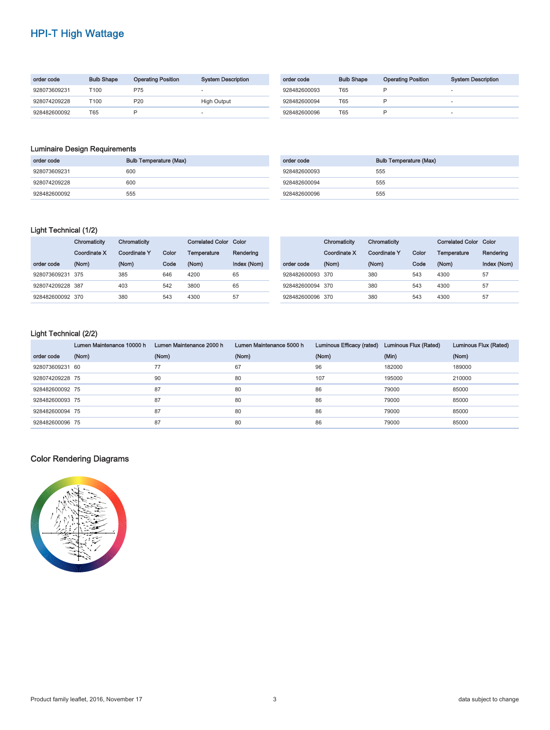## HPI-T High Wattage

| order code   | <b>Bulb Shape</b> | <b>Operating Position</b> | <b>System Description</b> | order code   | <b>Bulb Shape</b> | <b>Operating Position</b> | <b>System Description</b> |
|--------------|-------------------|---------------------------|---------------------------|--------------|-------------------|---------------------------|---------------------------|
| 928073609231 | T100              | P75                       |                           | 928482600093 | T65               |                           |                           |
| 928074209228 | T100              | P20                       | <b>High Output</b>        | 928482600094 | T65               |                           | $\overline{\phantom{a}}$  |
| 928482600092 | T65               |                           |                           | 928482600096 | T65               |                           | $\overline{\phantom{a}}$  |

#### Luminaire Design Requirements

| order code   | <b>Bulb Temperature (Max)</b> | order code   | <b>Bulb Temperature (Max)</b> |
|--------------|-------------------------------|--------------|-------------------------------|
| 928073609231 | 600                           | 928482600093 | 555                           |
| 928074209228 | 600                           | 928482600094 | 555                           |
| 928482600092 | 555                           | 928482600096 | 555                           |

#### Light Technical (1/2)

|                  | Chromaticity | Chromaticity        |       | <b>Correlated Color Color</b> |             |  | Chromaticity     | Chromaticity |              | <b>Correlated Color Color</b> |             |             |
|------------------|--------------|---------------------|-------|-------------------------------|-------------|--|------------------|--------------|--------------|-------------------------------|-------------|-------------|
|                  | Coordinate X | <b>Coordinate Y</b> | Color | Temperature                   | Rendering   |  |                  | Coordinate X | Coordinate Y | Color                         | Temperature | Rendering   |
| order code       | (Nom)        | (Nom)               | Code  | (Nom)                         | Index (Nom) |  | order code       | (Nom)        | (Nom)        | Code                          | (Nom)       | Index (Nom) |
| 928073609231 375 |              | 385                 | 646   | 4200                          | 65          |  | 928482600093 370 |              | 380          | 543                           | 4300        | 57          |
| 928074209228 387 |              | 403                 | 542   | 3800                          | 65          |  | 928482600094 370 |              | 380          | 543                           | 4300        | 57          |
| 928482600092 370 |              | 380                 | 543   | 4300                          | 57          |  | 928482600096 370 |              | 380          | 543                           | 4300        | 57          |

### Light Technical (2/2)

|                 | Lumen Maintenance 10000 h | Lumen Maintenance 2000 h | Lumen Maintenance 5000 h | Luminous Efficacy (rated) | Luminous Flux (Rated) | Luminous Flux (Rated) |
|-----------------|---------------------------|--------------------------|--------------------------|---------------------------|-----------------------|-----------------------|
| order code      | (Nom)                     | (Nom)                    | (Nom)                    | (Nom)                     | (Min)                 | (Nom)                 |
| 928073609231 60 |                           | 77                       | 67                       | 96                        | 182000                | 189000                |
| 928074209228 75 |                           | 90                       | 80                       | 107                       | 195000                | 210000                |
| 928482600092 75 |                           | 87                       | 80                       | 86                        | 79000                 | 85000                 |
| 928482600093 75 |                           | 87                       | 80                       | 86                        | 79000                 | 85000                 |
| 928482600094 75 |                           | 87                       | 80                       | 86                        | 79000                 | 85000                 |
| 928482600096 75 |                           | 87                       | 80                       | 86                        | 79000                 | 85000                 |

#### Color Rendering Diagrams